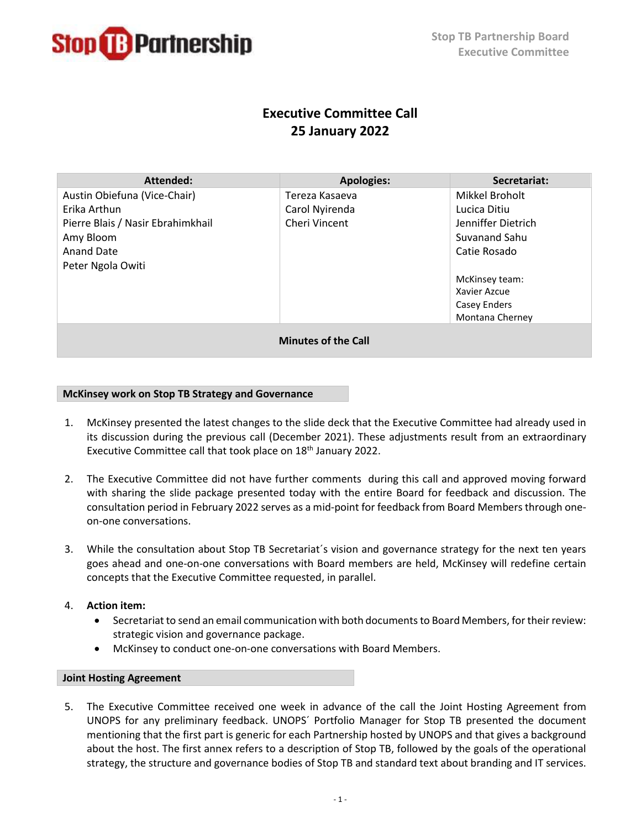

# **Executive Committee Call 25 January 2022**

| Attended:                         | <b>Apologies:</b> | Secretariat:       |
|-----------------------------------|-------------------|--------------------|
| Austin Obiefuna (Vice-Chair)      | Tereza Kasaeva    | Mikkel Broholt     |
| Erika Arthun                      | Carol Nyirenda    | Lucica Ditiu       |
| Pierre Blais / Nasir Ebrahimkhail | Cheri Vincent     | Jenniffer Dietrich |
| Amy Bloom                         |                   | Suvanand Sahu      |
| Anand Date                        |                   | Catie Rosado       |
| Peter Ngola Owiti                 |                   |                    |
|                                   |                   | McKinsey team:     |
|                                   |                   | Xavier Azcue       |
|                                   |                   | Casey Enders       |
|                                   |                   | Montana Cherney    |
| <b>Minutes of the Call</b>        |                   |                    |

## **McKinsey work on Stop TB Strategy and Governance**

- 1. McKinsey presented the latest changes to the slide deck that the Executive Committee had already used in its discussion during the previous call (December 2021). These adjustments result from an extraordinary Executive Committee call that took place on 18<sup>th</sup> January 2022.
- 2. The Executive Committee did not have further comments during this call and approved moving forward with sharing the slide package presented today with the entire Board for feedback and discussion. The consultation period in February 2022 serves as a mid-point for feedback from Board Members through oneon-one conversations.
- 3. While the consultation about Stop TB Secretariat´s vision and governance strategy for the next ten years goes ahead and one-on-one conversations with Board members are held, McKinsey will redefine certain concepts that the Executive Committee requested, in parallel.
- 4. **Action item:**
	- Secretariat to send an email communication with both documents to Board Members, for their review: strategic vision and governance package.
	- McKinsey to conduct one-on-one conversations with Board Members.

## **Joint Hosting Agreement**

5. The Executive Committee received one week in advance of the call the Joint Hosting Agreement from UNOPS for any preliminary feedback. UNOPS´ Portfolio Manager for Stop TB presented the document mentioning that the first part is generic for each Partnership hosted by UNOPS and that gives a background about the host. The first annex refers to a description of Stop TB, followed by the goals of the operational strategy, the structure and governance bodies of Stop TB and standard text about branding and IT services.